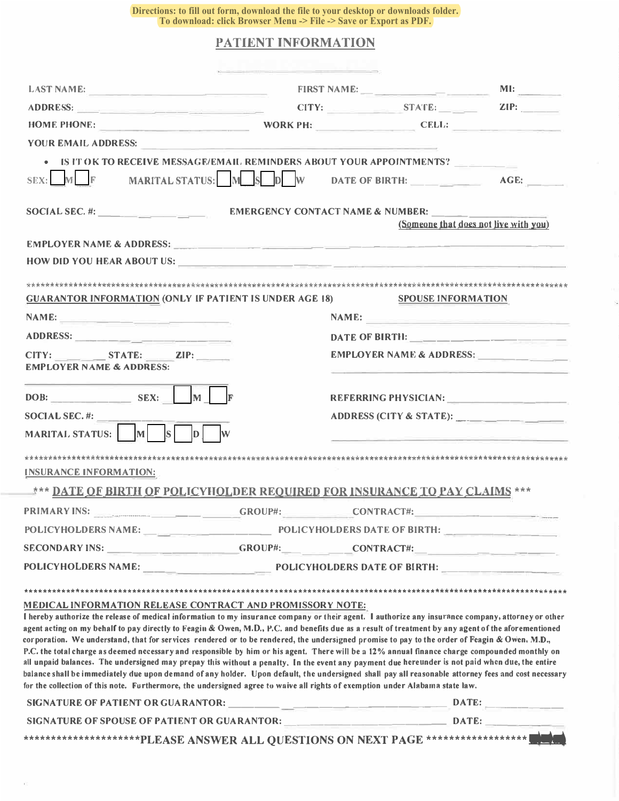**Directions: to fill out form, download the file to your desktop or downloads folder. To download: click Browser Menu -> File -> Save or Export as PDF.** 

## **PATIENT INFORMATION**

| <b>LAST NAME:</b>                                                                                                                                                                                                                                                                                      | EIRST NAME:                                 |  |                                       |                          |
|--------------------------------------------------------------------------------------------------------------------------------------------------------------------------------------------------------------------------------------------------------------------------------------------------------|---------------------------------------------|--|---------------------------------------|--------------------------|
|                                                                                                                                                                                                                                                                                                        |                                             |  |                                       |                          |
| HOME PHONE: WORK PH: CELL:                                                                                                                                                                                                                                                                             |                                             |  |                                       |                          |
| YOUR EMAIL ADDRESS:                                                                                                                                                                                                                                                                                    | <u> 1980 - Jan Aleksandro Ba</u>            |  |                                       |                          |
| • IS IT OK TO RECEIVE MESSAGE/EMAIL REMINDERS ABOUT YOUR APPOINTMENTS?                                                                                                                                                                                                                                 |                                             |  |                                       |                          |
| SEX: M F MARITAL STATUS: M S D W DATE OF BIRTH: AGE:                                                                                                                                                                                                                                                   |                                             |  |                                       |                          |
| SOCIAL SEC. $\#$ :                                                                                                                                                                                                                                                                                     | <b>EMERGENCY CONTACT NAME &amp; NUMBER:</b> |  |                                       |                          |
|                                                                                                                                                                                                                                                                                                        |                                             |  | (Someone that does not live with you) |                          |
| EMPLOYER NAME & ADDRESS: NAME AND ARRIVE AND A CONTROL CONTROL CONTROL CONTROL CONTROL CONTROL CONTROL CONTROL CONTROL CONTROL CONTROL CONTROL CONTROL CONTROL CONTROL CONTROL CONTROL CONTROL CONTROL CONTROL CONTROL CONTROL                                                                         |                                             |  |                                       |                          |
|                                                                                                                                                                                                                                                                                                        |                                             |  |                                       |                          |
|                                                                                                                                                                                                                                                                                                        |                                             |  |                                       |                          |
| <b>GUARANTOR INFORMATION (ONLY IF PATIENT IS UNDER AGE 18)</b>                                                                                                                                                                                                                                         |                                             |  | <b>SPOUSE INFORMATION</b>             |                          |
| NAME:                                                                                                                                                                                                                                                                                                  |                                             |  |                                       | NAME:                    |
|                                                                                                                                                                                                                                                                                                        |                                             |  |                                       |                          |
| CITY: STATE: ZIP:                                                                                                                                                                                                                                                                                      |                                             |  |                                       | EMPLOYER NAME & ADDRESS: |
| <b>EMPLOYER NAME &amp; ADDRESS:</b>                                                                                                                                                                                                                                                                    |                                             |  |                                       |                          |
| $DOB:$ SEX: M                                                                                                                                                                                                                                                                                          |                                             |  |                                       |                          |
|                                                                                                                                                                                                                                                                                                        |                                             |  |                                       |                          |
| SOCIAL SEC. #:<br>MARITAL STATUS: M<br>$s\overline{\Gamma}$<br>$\mathbf{D}$                                                                                                                                                                                                                            |                                             |  |                                       | ADDRESS (CITY & STATE):  |
|                                                                                                                                                                                                                                                                                                        |                                             |  |                                       |                          |
|                                                                                                                                                                                                                                                                                                        |                                             |  |                                       |                          |
| <b>INSURANCE INFORMATION:</b>                                                                                                                                                                                                                                                                          |                                             |  |                                       |                          |
| *** DATE OF BIRTH OF POLICYHOLDER REQUIRED FOR INSURANCE TO PAY CLAIMS ***                                                                                                                                                                                                                             |                                             |  |                                       |                          |
| PRIMARY INS: GROUP#: CONTRACT#:                                                                                                                                                                                                                                                                        |                                             |  |                                       |                          |
|                                                                                                                                                                                                                                                                                                        |                                             |  |                                       |                          |
|                                                                                                                                                                                                                                                                                                        | GROUP#:                                     |  | CONTRACT#: New York CONTRACT = 2012   |                          |
|                                                                                                                                                                                                                                                                                                        |                                             |  |                                       |                          |
|                                                                                                                                                                                                                                                                                                        |                                             |  |                                       |                          |
| MEDICAL INFORMATION RELEASE CONTRACT AND PROMISSORY NOTE:                                                                                                                                                                                                                                              |                                             |  |                                       |                          |
| I hereby authorize the release of medical information to my insurance company or their agent. I authorize any insurance company, attorney or other                                                                                                                                                     |                                             |  |                                       |                          |
| agent acting on my behalf to pay directly to Feagin & Owen, M.D., P.C. and benefits due as a result of treatment by any agent of the aforementioned<br>corporation. We understand, that for services rendered or to be rendered, the undersigned promise to pay to the order of Feagin & Owen, M.D.,   |                                             |  |                                       |                          |
| P.C. the total charge as deemed necessary and responsible by him or his agent. There will be a 12% annual finance charge compounded monthly on                                                                                                                                                         |                                             |  |                                       |                          |
| all unpaid balances. The undersigned may prepay this without a penalty. In the event any payment due hereunder is not paid when due, the entire<br>balance shall be immediately due upon demand of any holder. Upon default, the undersigned shall pay all reasonable attorney fees and cost necessary |                                             |  |                                       |                          |
| for the collection of this note. Furthermore, the undersigned agree to waive all rights of exemption under Alabama state law.                                                                                                                                                                          |                                             |  |                                       |                          |
|                                                                                                                                                                                                                                                                                                        |                                             |  |                                       |                          |
| SIGNATURE OF SPOUSE OF PATIENT OR GUARANTOR: DELLA CONSUMING DATE:                                                                                                                                                                                                                                     |                                             |  |                                       |                          |
| **********************PLEASE ANSWER ALL QUESTIONS ON NEXT PAGE ******************* DOM                                                                                                                                                                                                                 |                                             |  |                                       |                          |

 $\tilde{U}$ 

ÿ.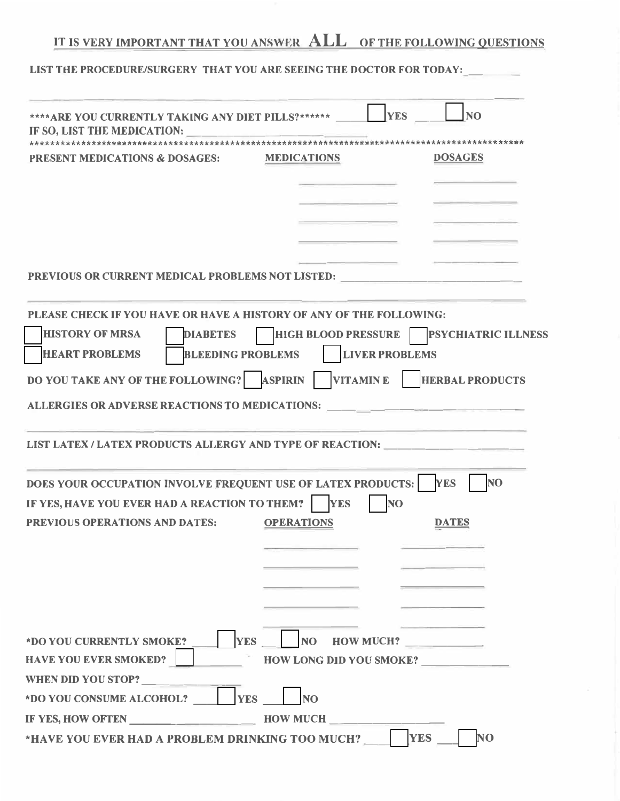# **IT IS VERY IMPORTANT THAT YOU ANSWER ALL OF THE FOLLOWING QUESTIONS**

LIST THE PROCEDURE/SURGERY THAT YOU ARE SEEING THE DOCTOR FOR TODAY:

|                                                                                    | <b>YES</b><br>N <sub>O</sub>                                |
|------------------------------------------------------------------------------------|-------------------------------------------------------------|
| **** ARE YOU CURRENTLY TAKING ANY DIET PILLS?******<br>IF SO, LIST THE MEDICATION: |                                                             |
|                                                                                    |                                                             |
| <b>PRESENT MEDICATIONS &amp; DOSAGES:</b>                                          | <b>DOSAGES</b><br><b>MEDICATIONS</b>                        |
|                                                                                    |                                                             |
|                                                                                    |                                                             |
| PREVIOUS OR CURRENT MEDICAL PROBLEMS NOT LISTED:                                   |                                                             |
| PLEASE CHECK IF YOU HAVE OR HAVE A HISTORY OF ANY OF THE FOLLOWING:                |                                                             |
| <b>HISTORY OF MRSA</b><br><b>DIABETES</b>                                          | <b>PSYCHIATRIC ILLNESS</b><br><b>HIGH BLOOD PRESSURE</b>    |
| <b>HEART PROBLEMS</b><br><b>BLEEDING PROBLEMS</b>                                  | <b>LIVER PROBLEMS</b>                                       |
| DO YOU TAKE ANY OF THE FOLLOWING?                                                  | <b>ASPIRIN</b><br><b>HERBAL PRODUCTS</b><br><b>VITAMINE</b> |
| ALLERGIES OR ADVERSE REACTIONS TO MEDICATIONS:                                     |                                                             |
| LIST LATEX / LATEX PRODUCTS ALLERGY AND TYPE OF REACTION:                          |                                                             |
| DOES YOUR OCCUPATION INVOLVE FREQUENT USE OF LATEX PRODUCTS:                       | <b>NO</b><br><b>YES</b>                                     |
| IF YES, HAVE YOU EVER HAD A REACTION TO THEM?                                      | <b>YES</b><br><b>NO</b>                                     |
| <b>PREVIOUS OPERATIONS AND DATES:</b>                                              | <b>DATES</b><br><b>OPERATIONS</b>                           |
|                                                                                    |                                                             |
|                                                                                    |                                                             |
|                                                                                    |                                                             |
|                                                                                    |                                                             |
| <b>YES</b><br>*DO YOU CURRENTLY SMOKE?                                             | NO HOW MUCH?                                                |
| <b>HAVE YOU EVER SMOKED?</b>                                                       | <b>HOW LONG DID YOU SMOKE?</b>                              |
| WHEN DID YOU STOP?                                                                 |                                                             |
| *DO YOU CONSUME ALCOHOL?<br><b>YES</b>                                             | <b>NO</b>                                                   |
| <b>IF YES, HOW OFTEN</b>                                                           | <b>HOW MUCH</b>                                             |
| *HAVE YOU EVER HAD A PROBLEM DRINKING TOO MUCH?                                    | N <sub>O</sub><br><b>YES</b>                                |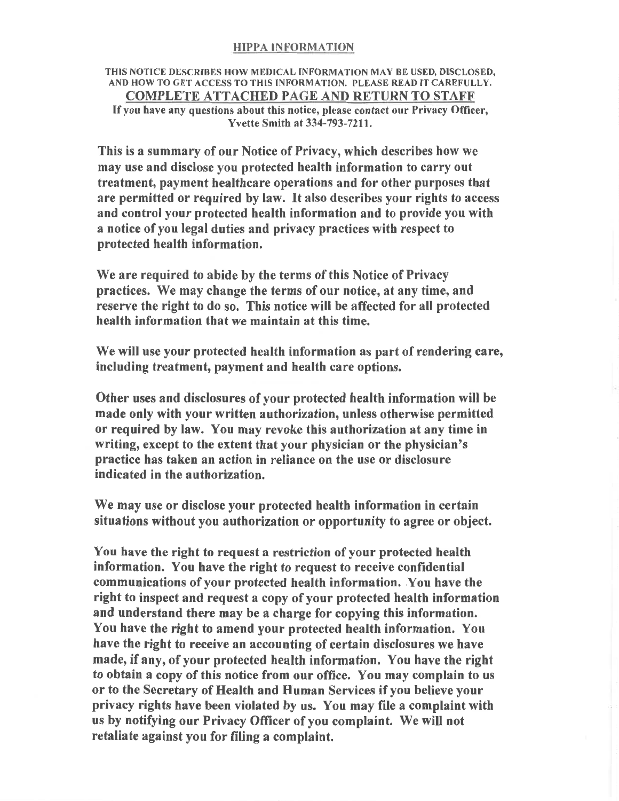#### **HIPPA INFORMATION**

### THIS NOTICE DESCRIBES HOW MEDICAL INFORMATION MAY BE USED, DISCLOSED, AND HOW TO GET ACCESS TO THIS INFORMATION. PLEASE READ IT CAREFULLY. **COMPLETE ATTACHED PAGE AND RETURN TO STAFF**

If you have any questions about this notice, please contact our Privacy Officer, **Yvette Smith at 334-793-7211.** 

This is a summary of our Notice of Privacy, which describes how we may use and disclose you protected health information to carry out treatment, payment healthcare operations and for other purposes that are permitted or required by law. It also describes your rights to access and control your protected health information and to provide you with a notice of you legal duties and privacy practices with respect to protected health information.

We are required to abide by the terms of this Notice of Privacy practices. We may change the terms of our notice, at any time, and reserve the right to do so. This notice will be affected for all protected health information that we maintain at this time.

We will use your protected health information as part of rendering care, including treatment, payment and health care options.

Other uses and disclosures of your protected health information will be made only with your written authorization, unless otherwise permitted or required by law. You may revoke this authorization at any time in writing, except to the extent that your physician or the physician's practice has taken an action in reliance on the use or disclosure indicated in the authorization.

We may use or disclose your protected health information in certain situations without you authorization or opportunity to agree or object.

You have the right to request a restriction of your protected health information. You have the right to request to receive confidential communications of your protected health information. You have the right to inspect and request a copy of your protected health information and understand there may be a charge for copying this information. You have the right to amend your protected health information. You have the right to receive an accounting of certain disclosures we have made, if any, of your protected health information. You have the right to obtain a copy of this notice from our office. You may complain to us or to the Secretary of Health and Human Services if you believe your privacy rights have been violated by us. You may file a complaint with us by notifying our Privacy Officer of you complaint. We will not retaliate against you for filing a complaint.